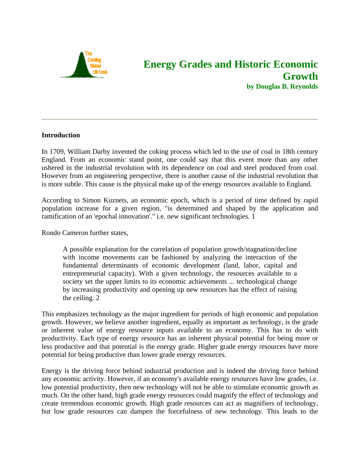

# **Energy Grades and Historic Economic Growth by Douglas B. Reynolds**

#### **Introduction**

In 1709, William Darby invented the coking process which led to the use of coal in 18th century England. From an economic stand point, one could say that this event more than any other ushered in the industrial revolution with its dependence on coal and steel produced from coal. However from an engineering perspective, there is another cause of the industrial revolution that is more subtle. This cause is the physical make up of the energy resources available to England.

According to Simon Kuznets, an economic epoch, which is a period of time defined by rapid population increase for a given region, "is determined and shaped by the application and ramification of an 'epochal innovation'." i.e. new significant technologies. 1

Rondo Cameron further states,

A possible explanation for the correlation of population growth/stagnation/decline with income movements can be fashioned by analyzing the interaction of the fundamental determinants of economic development (land, labor, capital and entrepreneurial capacity). With a given technology, the resources available to a society set the upper limits to its economic achievements ... technological change by increasing productivity and opening up new resources has the effect of raising the ceiling. 2

This emphasizes technology as the major ingredient for periods of high economic and population growth. However, we believe another ingredient, equally as important as technology, is the grade or inherent value of energy resource inputs available to an economy. This has to do with productivity. Each type of energy resource has an inherent physical potential for being more or less productive and that potential is the energy grade. Higher grade energy resources have more potential for being productive than lower grade energy resources.

Energy is the driving force behind industrial production and is indeed the driving force behind any economic activity. However, if an economy's available energy resources have low grades, i.e. low potential productivity, then new technology will not be able to stimulate economic growth as much. On the other hand, high grade energy resources could magnify the effect of technology and create tremendous economic growth. High grade resources can act as magnifiers of technology, but low grade resources can dampen the forcefulness of new technology. This leads to the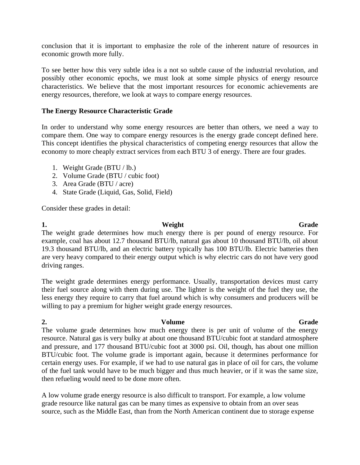conclusion that it is important to emphasize the role of the inherent nature of resources in economic growth more fully.

To see better how this very subtle idea is a not so subtle cause of the industrial revolution, and possibly other economic epochs, we must look at some simple physics of energy resource characteristics. We believe that the most important resources for economic achievements are energy resources, therefore, we look at ways to compare energy resources.

#### **The Energy Resource Characteristic Grade**

In order to understand why some energy resources are better than others, we need a way to compare them. One way to compare energy resources is the energy grade concept defined here. This concept identifies the physical characteristics of competing energy resources that allow the economy to more cheaply extract services from each BTU 3 of energy. There are four grades.

- 1. Weight Grade (BTU / lb.)
- 2. Volume Grade (BTU / cubic foot)
- 3. Area Grade (BTU / acre)
- 4. State Grade (Liquid, Gas, Solid, Field)

Consider these grades in detail:

#### **1.** Weight Grade The weight grade determines how much energy there is per pound of energy resource. For example, coal has about 12.7 thousand BTU/lb, natural gas about 10 thousand BTU/lb, oil about 19.3 thousand BTU/lb, and an electric battery typically has 100 BTU/lb. Electric batteries then are very heavy compared to their energy output which is why electric cars do not have very good driving ranges.

The weight grade determines energy performance. Usually, transportation devices must carry their fuel source along with them during use. The lighter is the weight of the fuel they use, the less energy they require to carry that fuel around which is why consumers and producers will be willing to pay a premium for higher weight grade energy resources.

## **2. Constant Constant Constant Constant Constant Constant Constant Constant Constant Constant Constant Constant Constant Constant Constant Constant Constant Constant Constant Constant Constant Constant Constant Constant**

The volume grade determines how much energy there is per unit of volume of the energy resource. Natural gas is very bulky at about one thousand BTU/cubic foot at standard atmosphere and pressure, and 177 thousand BTU/cubic foot at 3000 psi. Oil, though, has about one million BTU/cubic foot. The volume grade is important again, because it determines performance for certain energy uses. For example, if we had to use natural gas in place of oil for cars, the volume of the fuel tank would have to be much bigger and thus much heavier, or if it was the same size, then refueling would need to be done more often.

A low volume grade energy resource is also difficult to transport. For example, a low volume grade resource like natural gas can be many times as expensive to obtain from an over seas source, such as the Middle East, than from the North American continent due to storage expense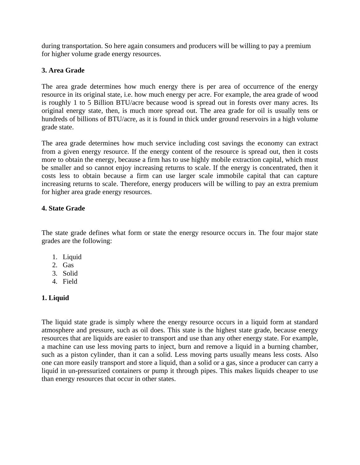during transportation. So here again consumers and producers will be willing to pay a premium for higher volume grade energy resources.

### **3. Area Grade**

The area grade determines how much energy there is per area of occurrence of the energy resource in its original state, i.e. how much energy per acre. For example, the area grade of wood is roughly 1 to 5 Billion BTU/acre because wood is spread out in forests over many acres. Its original energy state, then, is much more spread out. The area grade for oil is usually tens or hundreds of billions of BTU/acre, as it is found in thick under ground reservoirs in a high volume grade state.

The area grade determines how much service including cost savings the economy can extract from a given energy resource. If the energy content of the resource is spread out, then it costs more to obtain the energy, because a firm has to use highly mobile extraction capital, which must be smaller and so cannot enjoy increasing returns to scale. If the energy is concentrated, then it costs less to obtain because a firm can use larger scale immobile capital that can capture increasing returns to scale. Therefore, energy producers will be willing to pay an extra premium for higher area grade energy resources.

### **4. State Grade**

The state grade defines what form or state the energy resource occurs in. The four major state grades are the following:

- 1. Liquid
- 2. Gas
- 3. Solid
- 4. Field

### **1. Liquid**

The liquid state grade is simply where the energy resource occurs in a liquid form at standard atmosphere and pressure, such as oil does. This state is the highest state grade, because energy resources that are liquids are easier to transport and use than any other energy state. For example, a machine can use less moving parts to inject, burn and remove a liquid in a burning chamber, such as a piston cylinder, than it can a solid. Less moving parts usually means less costs. Also one can more easily transport and store a liquid, than a solid or a gas, since a producer can carry a liquid in un-pressurized containers or pump it through pipes. This makes liquids cheaper to use than energy resources that occur in other states.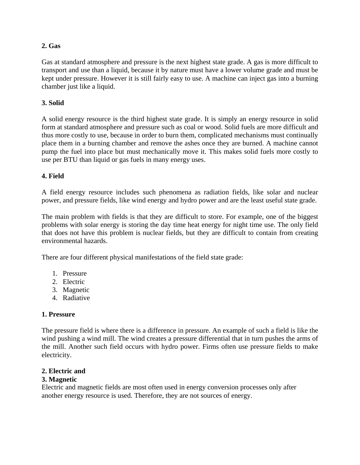#### **2. Gas**

Gas at standard atmosphere and pressure is the next highest state grade. A gas is more difficult to transport and use than a liquid, because it by nature must have a lower volume grade and must be kept under pressure. However it is still fairly easy to use. A machine can inject gas into a burning chamber just like a liquid.

#### **3. Solid**

A solid energy resource is the third highest state grade. It is simply an energy resource in solid form at standard atmosphere and pressure such as coal or wood. Solid fuels are more difficult and thus more costly to use, because in order to burn them, complicated mechanisms must continually place them in a burning chamber and remove the ashes once they are burned. A machine cannot pump the fuel into place but must mechanically move it. This makes solid fuels more costly to use per BTU than liquid or gas fuels in many energy uses.

#### **4. Field**

A field energy resource includes such phenomena as radiation fields, like solar and nuclear power, and pressure fields, like wind energy and hydro power and are the least useful state grade.

The main problem with fields is that they are difficult to store. For example, one of the biggest problems with solar energy is storing the day time heat energy for night time use. The only field that does not have this problem is nuclear fields, but they are difficult to contain from creating environmental hazards.

There are four different physical manifestations of the field state grade:

- 1. Pressure
- 2. Electric
- 3. Magnetic
- 4. Radiative

#### **1. Pressure**

The pressure field is where there is a difference in pressure. An example of such a field is like the wind pushing a wind mill. The wind creates a pressure differential that in turn pushes the arms of the mill. Another such field occurs with hydro power. Firms often use pressure fields to make electricity.

#### **2. Electric and**

#### **3. Magnetic**

Electric and magnetic fields are most often used in energy conversion processes only after another energy resource is used. Therefore, they are not sources of energy.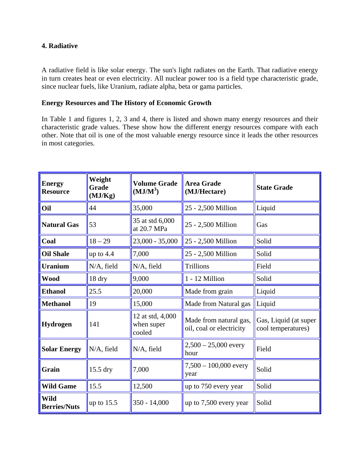#### **4. Radiative**

A radiative field is like solar energy. The sun's light radiates on the Earth. That radiative energy in turn creates heat or even electricity. All nuclear power too is a field type characteristic grade, since nuclear fuels, like Uranium, radiate alpha, beta or gama particles.

#### **Energy Resources and The History of Economic Growth**

In Table 1 and figures 1, 2, 3 and 4, there is listed and shown many energy resources and their characteristic grade values. These show how the different energy resources compare with each other. Note that oil is one of the most valuable energy resource since it leads the other resources in most categories.

| <b>Energy</b><br><b>Resource</b>   | Weight<br>Grade<br>(MJ/Kg) | <b>Volume Grade</b><br>$(MJ/M^3)$        | <b>Area Grade</b><br>(MJ/Hectare)                  | <b>State Grade</b>                          |
|------------------------------------|----------------------------|------------------------------------------|----------------------------------------------------|---------------------------------------------|
| Oil                                | 44                         | 35,000                                   | 25 - 2,500 Million                                 | Liquid                                      |
| <b>Natural Gas</b>                 | 53                         | 35 at std 6,000<br>at 20.7 MPa           | 25 - 2,500 Million                                 | Gas                                         |
| Coal                               | $18 - 29$                  | $23,000 - 35,000$                        | 25 - 2,500 Million                                 | Solid                                       |
| <b>Oil Shale</b>                   | up to $4.4$                | 7,000                                    | 25 - 2,500 Million                                 | Solid                                       |
| <b>Uranium</b>                     | N/A, field                 | N/A, field                               | <b>Trillions</b>                                   | Field                                       |
| <b>Wood</b>                        | 18 dry                     | 9,000                                    | 1 - 12 Million                                     | Solid                                       |
| <b>Ethanol</b>                     | 25.5                       | 20,000                                   | Made from grain                                    | Liquid                                      |
| <b>Methanol</b>                    | 19                         | 15,000                                   | Made from Natural gas                              | Liquid                                      |
| Hydrogen                           | 141                        | 12 at std, 4,000<br>when super<br>cooled | Made from natural gas,<br>oil, coal or electricity | Gas, Liquid (at super<br>cool temperatures) |
| <b>Solar Energy</b>                | $N/A$ , field              | N/A, field                               | $2,500 - 25,000$ every<br>hour                     | Field                                       |
| Grain                              | 15.5 dry                   | 7,000                                    | $7,500 - 100,000$ every<br>year                    | Solid                                       |
| <b>Wild Game</b>                   | 15.5                       | 12,500                                   | up to 750 every year                               | Solid                                       |
| <b>Wild</b><br><b>Berries/Nuts</b> | up to $15.5$               | 350 - 14,000                             | up to 7,500 every year                             | Solid                                       |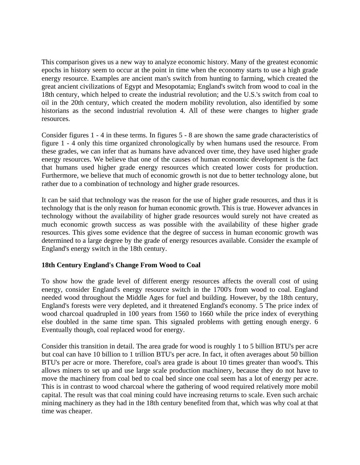This comparison gives us a new way to analyze economic history. Many of the greatest economic epochs in history seem to occur at the point in time when the economy starts to use a high grade energy resource. Examples are ancient man's switch from hunting to farming, which created the great ancient civilizations of Egypt and Mesopotamia; England's switch from wood to coal in the 18th century, which helped to create the industrial revolution; and the U.S.'s switch from coal to oil in the 20th century, which created the modern mobility revolution, also identified by some historians as the second industrial revolution 4. All of these were changes to higher grade resources.

Consider figures 1 - 4 in these terms. In figures 5 - 8 are shown the same grade characteristics of figure 1 - 4 only this time organized chronologically by when humans used the resource. From these grades, we can infer that as humans have advanced over time, they have used higher grade energy resources. We believe that one of the causes of human economic development is the fact that humans used higher grade energy resources which created lower costs for production. Furthermore, we believe that much of economic growth is not due to better technology alone, but rather due to a combination of technology and higher grade resources.

It can be said that technology was the reason for the use of higher grade resources, and thus it is technology that is the only reason for human economic growth. This is true. However advances in technology without the availability of higher grade resources would surely not have created as much economic growth success as was possible with the availability of these higher grade resources. This gives some evidence that the degree of success in human economic growth was determined to a large degree by the grade of energy resources available. Consider the example of England's energy switch in the 18th century.

### **18th Century England's Change From Wood to Coal**

To show how the grade level of different energy resources affects the overall cost of using energy, consider England's energy resource switch in the 1700's from wood to coal. England needed wood throughout the Middle Ages for fuel and building. However, by the 18th century, England's forests were very depleted, and it threatened England's economy. 5 The price index of wood charcoal quadrupled in 100 years from 1560 to 1660 while the price index of everything else doubled in the same time span. This signaled problems with getting enough energy. 6 Eventually though, coal replaced wood for energy.

Consider this transition in detail. The area grade for wood is roughly 1 to 5 billion BTU's per acre but coal can have 10 billion to 1 trillion BTU's per acre. In fact, it often averages about 50 billion BTU's per acre or more. Therefore, coal's area grade is about 10 times greater than wood's. This allows miners to set up and use large scale production machinery, because they do not have to move the machinery from coal bed to coal bed since one coal seem has a lot of energy per acre. This is in contrast to wood charcoal where the gathering of wood required relatively more mobil capital. The result was that coal mining could have increasing returns to scale. Even such archaic mining machinery as they had in the 18th century benefited from that, which was why coal at that time was cheaper.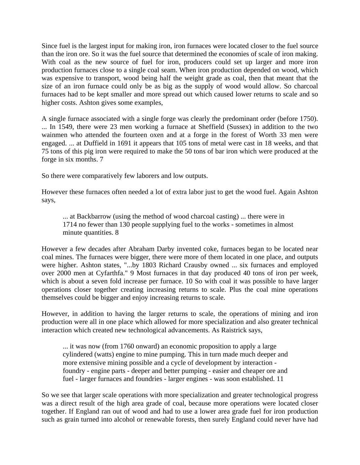Since fuel is the largest input for making iron, iron furnaces were located closer to the fuel source than the iron ore. So it was the fuel source that determined the economies of scale of iron making. With coal as the new source of fuel for iron, producers could set up larger and more iron production furnaces close to a single coal seam. When iron production depended on wood, which was expensive to transport, wood being half the weight grade as coal, then that meant that the size of an iron furnace could only be as big as the supply of wood would allow. So charcoal furnaces had to be kept smaller and more spread out which caused lower returns to scale and so higher costs. Ashton gives some examples,

A single furnace associated with a single forge was clearly the predominant order (before 1750). ... In 1549, there were 23 men working a furnace at Sheffield (Sussex) in addition to the two wainmen who attended the fourteen oxen and at a forge in the forest of Worth 33 men were engaged. ... at Duffield in 1691 it appears that 105 tons of metal were cast in 18 weeks, and that 75 tons of this pig iron were required to make the 50 tons of bar iron which were produced at the forge in six months. 7

So there were comparatively few laborers and low outputs.

However these furnaces often needed a lot of extra labor just to get the wood fuel. Again Ashton says,

... at Backbarrow (using the method of wood charcoal casting) ... there were in 1714 no fewer than 130 people supplying fuel to the works - sometimes in almost minute quantities. 8

However a few decades after Abraham Darby invented coke, furnaces began to be located near coal mines. The furnaces were bigger, there were more of them located in one place, and outputs were higher. Ashton states, "...by 1803 Richard Crausby owned ... six furnaces and employed over 2000 men at Cyfarthfa." 9 Most furnaces in that day produced 40 tons of iron per week, which is about a seven fold increase per furnace. 10 So with coal it was possible to have larger operations closer together creating increasing returns to scale. Plus the coal mine operations themselves could be bigger and enjoy increasing returns to scale.

However, in addition to having the larger returns to scale, the operations of mining and iron production were all in one place which allowed for more specialization and also greater technical interaction which created new technological advancements. As Raistrick says,

... it was now (from 1760 onward) an economic proposition to apply a large cylindered (watts) engine to mine pumping. This in turn made much deeper and more extensive mining possible and a cycle of development by interaction foundry - engine parts - deeper and better pumping - easier and cheaper ore and fuel - larger furnaces and foundries - larger engines - was soon established. 11

So we see that larger scale operations with more specialization and greater technological progress was a direct result of the high area grade of coal, because more operations were located closer together. If England ran out of wood and had to use a lower area grade fuel for iron production such as grain turned into alcohol or renewable forests, then surely England could never have had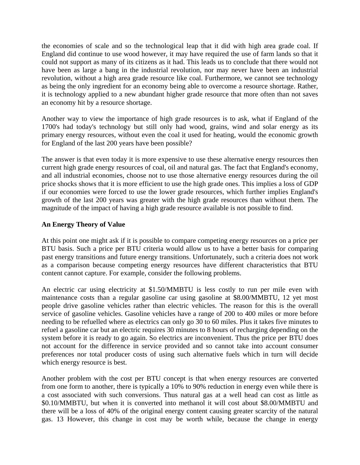the economies of scale and so the technological leap that it did with high area grade coal. If England did continue to use wood however, it may have required the use of farm lands so that it could not support as many of its citizens as it had. This leads us to conclude that there would not have been as large a bang in the industrial revolution, nor may never have been an industrial revolution, without a high area grade resource like coal. Furthermore, we cannot see technology as being the only ingredient for an economy being able to overcome a resource shortage. Rather, it is technology applied to a new abundant higher grade resource that more often than not saves an economy hit by a resource shortage.

Another way to view the importance of high grade resources is to ask, what if England of the 1700's had today's technology but still only had wood, grains, wind and solar energy as its primary energy resources, without even the coal it used for heating, would the economic growth for England of the last 200 years have been possible?

The answer is that even today it is more expensive to use these alternative energy resources then current high grade energy resources of coal, oil and natural gas. The fact that England's economy, and all industrial economies, choose not to use those alternative energy resources during the oil price shocks shows that it is more efficient to use the high grade ones. This implies a loss of GDP if our economies were forced to use the lower grade resources, which further implies England's growth of the last 200 years was greater with the high grade resources than without them. The magnitude of the impact of having a high grade resource available is not possible to find.

### **An Energy Theory of Value**

At this point one might ask if it is possible to compare competing energy resources on a price per BTU basis. Such a price per BTU criteria would allow us to have a better basis for comparing past energy transitions and future energy transitions. Unfortunately, such a criteria does not work as a comparison because competing energy resources have different characteristics that BTU content cannot capture. For example, consider the following problems.

An electric car using electricity at \$1.50/MMBTU is less costly to run per mile even with maintenance costs than a regular gasoline car using gasoline at \$8.00/MMBTU, 12 yet most people drive gasoline vehicles rather than electric vehicles. The reason for this is the overall service of gasoline vehicles. Gasoline vehicles have a range of 200 to 400 miles or more before needing to be refuelled where as electrics can only go 30 to 60 miles. Plus it takes five minutes to refuel a gasoline car but an electric requires 30 minutes to 8 hours of recharging depending on the system before it is ready to go again. So electrics are inconvenient. Thus the price per BTU does not account for the difference in service provided and so cannot take into account consumer preferences nor total producer costs of using such alternative fuels which in turn will decide which energy resource is best.

Another problem with the cost per BTU concept is that when energy resources are converted from one form to another, there is typically a 10% to 90% reduction in energy even while there is a cost associated with such conversions. Thus natural gas at a well head can cost as little as \$0.10/MMBTU, but when it is converted into methanol it will cost about \$8.00/MMBTU and there will be a loss of 40% of the original energy content causing greater scarcity of the natural gas. 13 However, this change in cost may be worth while, because the change in energy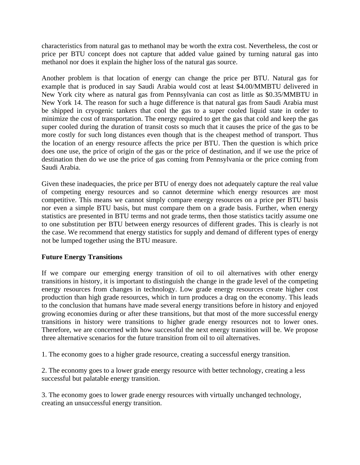characteristics from natural gas to methanol may be worth the extra cost. Nevertheless, the cost or price per BTU concept does not capture that added value gained by turning natural gas into methanol nor does it explain the higher loss of the natural gas source.

Another problem is that location of energy can change the price per BTU. Natural gas for example that is produced in say Saudi Arabia would cost at least \$4.00/MMBTU delivered in New York city where as natural gas from Pennsylvania can cost as little as \$0.35/MMBTU in New York 14. The reason for such a huge difference is that natural gas from Saudi Arabia must be shipped in cryogenic tankers that cool the gas to a super cooled liquid state in order to minimize the cost of transportation. The energy required to get the gas that cold and keep the gas super cooled during the duration of transit costs so much that it causes the price of the gas to be more costly for such long distances even though that is the cheapest method of transport. Thus the location of an energy resource affects the price per BTU. Then the question is which price does one use, the price of origin of the gas or the price of destination, and if we use the price of destination then do we use the price of gas coming from Pennsylvania or the price coming from Saudi Arabia.

Given these inadequacies, the price per BTU of energy does not adequately capture the real value of competing energy resources and so cannot determine which energy resources are most competitive. This means we cannot simply compare energy resources on a price per BTU basis nor even a simple BTU basis, but must compare them on a grade basis. Further, when energy statistics are presented in BTU terms and not grade terms, then those statistics tacitly assume one to one substitution per BTU between energy resources of different grades. This is clearly is not the case. We recommend that energy statistics for supply and demand of different types of energy not be lumped together using the BTU measure.

### **Future Energy Transitions**

If we compare our emerging energy transition of oil to oil alternatives with other energy transitions in history, it is important to distinguish the change in the grade level of the competing energy resources from changes in technology. Low grade energy resources create higher cost production than high grade resources, which in turn produces a drag on the economy. This leads to the conclusion that humans have made several energy transitions before in history and enjoyed growing economies during or after these transitions, but that most of the more successful energy transitions in history were transitions to higher grade energy resources not to lower ones. Therefore, we are concerned with how successful the next energy transition will be. We propose three alternative scenarios for the future transition from oil to oil alternatives.

1. The economy goes to a higher grade resource, creating a successful energy transition.

2. The economy goes to a lower grade energy resource with better technology, creating a less successful but palatable energy transition.

3. The economy goes to lower grade energy resources with virtually unchanged technology, creating an unsuccessful energy transition.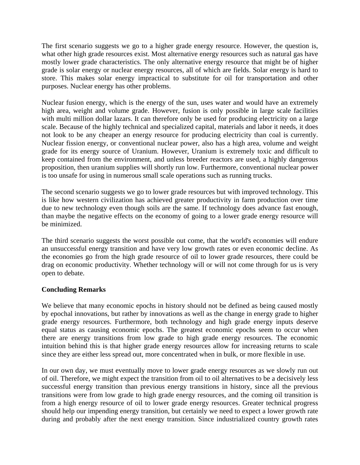The first scenario suggests we go to a higher grade energy resource. However, the question is, what other high grade resources exist. Most alternative energy resources such as natural gas have mostly lower grade characteristics. The only alternative energy resource that might be of higher grade is solar energy or nuclear energy resources, all of which are fields. Solar energy is hard to store. This makes solar energy impractical to substitute for oil for transportation and other purposes. Nuclear energy has other problems.

Nuclear fusion energy, which is the energy of the sun, uses water and would have an extremely high area, weight and volume grade. However, fusion is only possible in large scale facilities with multi million dollar lazars. It can therefore only be used for producing electricity on a large scale. Because of the highly technical and specialized capital, materials and labor it needs, it does not look to be any cheaper an energy resource for producing electricity than coal is currently. Nuclear fission energy, or conventional nuclear power, also has a high area, volume and weight grade for its energy source of Uranium. However, Uranium is extremely toxic and difficult to keep contained from the environment, and unless breeder reactors are used, a highly dangerous proposition, then uranium supplies will shortly run low. Furthermore, conventional nuclear power is too unsafe for using in numerous small scale operations such as running trucks.

The second scenario suggests we go to lower grade resources but with improved technology. This is like how western civilization has achieved greater productivity in farm production over time due to new technology even though soils are the same. If technology does advance fast enough, than maybe the negative effects on the economy of going to a lower grade energy resource will be minimized.

The third scenario suggests the worst possible out come, that the world's economies will endure an unsuccessful energy transition and have very low growth rates or even economic decline. As the economies go from the high grade resource of oil to lower grade resources, there could be drag on economic productivity. Whether technology will or will not come through for us is very open to debate.

### **Concluding Remarks**

We believe that many economic epochs in history should not be defined as being caused mostly by epochal innovations, but rather by innovations as well as the change in energy grade to higher grade energy resources. Furthermore, both technology and high grade energy inputs deserve equal status as causing economic epochs. The greatest economic epochs seem to occur when there are energy transitions from low grade to high grade energy resources. The economic intuition behind this is that higher grade energy resources allow for increasing returns to scale since they are either less spread out, more concentrated when in bulk, or more flexible in use.

In our own day, we must eventually move to lower grade energy resources as we slowly run out of oil. Therefore, we might expect the transition from oil to oil alternatives to be a decisively less successful energy transition than previous energy transitions in history, since all the previous transitions were from low grade to high grade energy resources, and the coming oil transition is from a high energy resource of oil to lower grade energy resources. Greater technical progress should help our impending energy transition, but certainly we need to expect a lower growth rate during and probably after the next energy transition. Since industrialized country growth rates